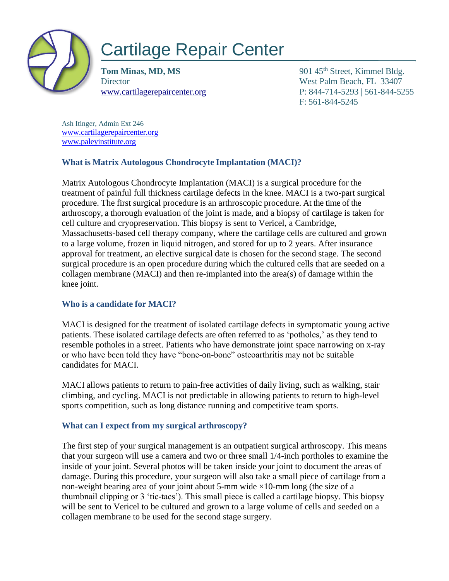

# Cartilage Repair Center

**Tom Minas, MD, MS** 901 45<sup>th</sup> Street, Kimmel Bldg. Director West Palm Beach, FL 33407 www.cartilagerepaircenter.org P: 844-714-5293 | 561-844-5255 F: 561-844-5245

Ash Itinger, Admin Ext 246 www.cartilagerepaircenter.org www.paleyinstitute.org

## **What is Matrix Autologous Chondrocyte Implantation (MACI)?**

Matrix Autologous Chondrocyte Implantation (MACI) is a surgical procedure for the treatment of painful full thickness cartilage defects in the knee. MACI is a two-part surgical procedure. The first surgical procedure is an arthroscopic procedure. At the time of the arthroscopy, a thorough evaluation of the joint is made, and a biopsy of cartilage is taken for cell culture and cryopreservation. This biopsy is sent to Vericel, a Cambridge, Massachusetts-based cell therapy company, where the cartilage cells are cultured and grown to a large volume, frozen in liquid nitrogen, and stored for up to 2 years. After insurance approval for treatment, an elective surgical date is chosen for the second stage. The second surgical procedure is an open procedure during which the cultured cells that are seeded on a collagen membrane (MACI) and then re-implanted into the area(s) of damage within the knee joint.

## **Who is a candidate for MACI?**

MACI is designed for the treatment of isolated cartilage defects in symptomatic young active patients. These isolated cartilage defects are often referred to as 'potholes,' as they tend to resemble potholes in a street. Patients who have demonstrate joint space narrowing on x-ray or who have been told they have "bone-on-bone" osteoarthritis may not be suitable candidates for MACI.

MACI allows patients to return to pain-free activities of daily living, such as walking, stair climbing, and cycling. MACI is not predictable in allowing patients to return to high-level sports competition, such as long distance running and competitive team sports.

## **What can I expect from my surgical arthroscopy?**

The first step of your surgical management is an outpatient surgical arthroscopy. This means that your surgeon will use a camera and two or three small 1/4-inch portholes to examine the inside of your joint. Several photos will be taken inside your joint to document the areas of damage. During this procedure, your surgeon will also take a small piece of cartilage from a non-weight bearing area of your joint about 5-mm wide  $\times$ 10-mm long (the size of a thumbnail clipping or 3 'tic-tacs'). This small piece is called a cartilage biopsy. This biopsy will be sent to Vericel to be cultured and grown to a large volume of cells and seeded on a collagen membrane to be used for the second stage surgery.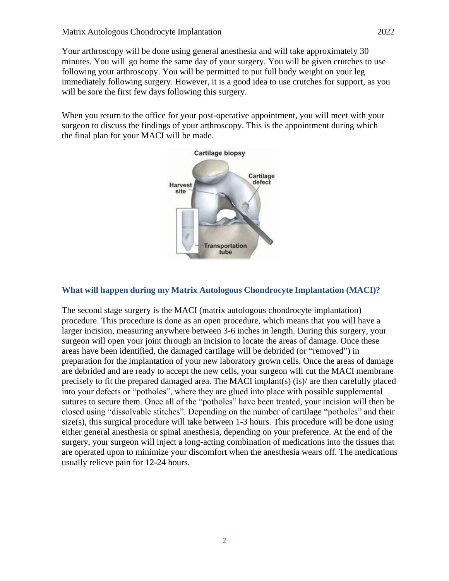Your arthroscopy will be done using general anesthesia and will take approximately 30 minutes. You will go home the same day of your surgery. You will be given crutches to use following your arthroscopy. You will be permitted to put full body weight on your leg immediately following surgery. However, it is a good idea to use crutches for support, as you will be sore the first few days following this surgery.

When you return to the office for your post-operative appointment, you will meet with your surgeon to discuss the findings of your arthroscopy. This is the appointment during which the final plan for your MACI will be made.



#### **What will happen during my Matrix Autologous Chondrocyte Implantation (MACI)?**

The second stage surgery is the MACI (matrix autologous chondrocyte implantation) procedure. This procedure is done as an open procedure, which means that you will have a larger incision, measuring anywhere between 3-6 inches in length. During this surgery, your surgeon will open your joint through an incision to locate the areas of damage. Once these areas have been identified, the damaged cartilage will be debrided (or "removed") in preparation for the implantation of your new laboratory grown cells. Once the areas of damage are debrided and are ready to accept the new cells, your surgeon will cut the MACI membrane precisely to fit the prepared damaged area. The MACI implant(s) (is)/ are then carefully placed into your defects or "potholes", where they are glued into place with possible supplemental sutures to secure them. Once all of the "potholes" have been treated, your incision will then be closed using "dissolvable stitches". Depending on the number of cartilage "potholes" and their size(s), this surgical procedure will take between 1-3 hours. This procedure will be done using either general anesthesia or spinal anesthesia, depending on your preference. At the end of the surgery, your surgeon will inject a long-acting combination of medications into the tissues that are operated upon to minimize your discomfort when the anesthesia wears off. The medications usually relieve pain for 12-24 hours.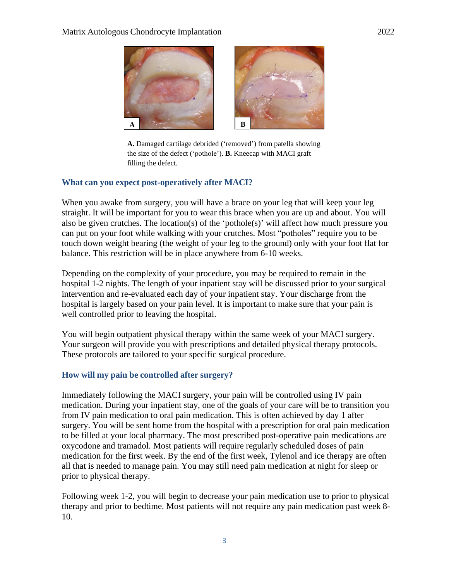

**A.** Damaged cartilage debrided ('removed') from patella showing the size of the defect ('pothole'). **B.** Kneecap with MACI graft filling the defect.

#### **What can you expect post-operatively after MACI?**

When you awake from surgery, you will have a brace on your leg that will keep your leg straight. It will be important for you to wear this brace when you are up and about. You will also be given crutches. The location(s) of the 'pothole(s)' will affect how much pressure you can put on your foot while walking with your crutches. Most "potholes" require you to be touch down weight bearing (the weight of your leg to the ground) only with your foot flat for balance. This restriction will be in place anywhere from 6-10 weeks.

Depending on the complexity of your procedure, you may be required to remain in the hospital 1-2 nights. The length of your inpatient stay will be discussed prior to your surgical intervention and re-evaluated each day of your inpatient stay. Your discharge from the hospital is largely based on your pain level. It is important to make sure that your pain is well controlled prior to leaving the hospital.

You will begin outpatient physical therapy within the same week of your MACI surgery. Your surgeon will provide you with prescriptions and detailed physical therapy protocols. These protocols are tailored to your specific surgical procedure.

#### **How will my pain be controlled after surgery?**

Immediately following the MACI surgery, your pain will be controlled using IV pain medication. During your inpatient stay, one of the goals of your care will be to transition you from IV pain medication to oral pain medication. This is often achieved by day 1 after surgery. You will be sent home from the hospital with a prescription for oral pain medication to be filled at your local pharmacy. The most prescribed post-operative pain medications are oxycodone and tramadol. Most patients will require regularly scheduled doses of pain medication for the first week. By the end of the first week, Tylenol and ice therapy are often all that is needed to manage pain. You may still need pain medication at night for sleep or prior to physical therapy.

Following week 1-2, you will begin to decrease your pain medication use to prior to physical therapy and prior to bedtime. Most patients will not require any pain medication past week 8- 10.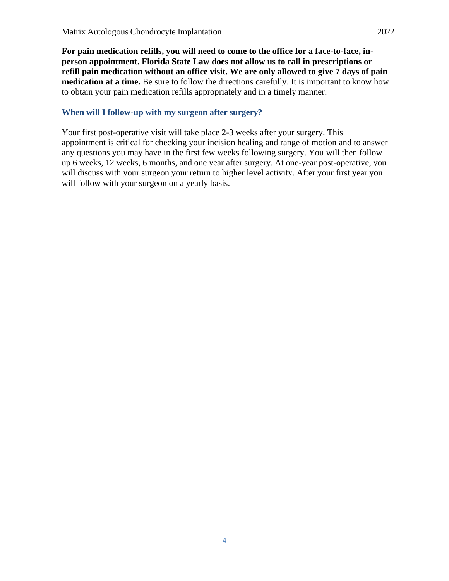**For pain medication refills, you will need to come to the office for a face-to-face, inperson appointment. Florida State Law does not allow us to call in prescriptions or refill pain medication without an office visit. We are only allowed to give 7 days of pain medication at a time.** Be sure to follow the directions carefully. It is important to know how to obtain your pain medication refills appropriately and in a timely manner.

### **When will I follow-up with my surgeon after surgery?**

Your first post-operative visit will take place 2-3 weeks after your surgery. This appointment is critical for checking your incision healing and range of motion and to answer any questions you may have in the first few weeks following surgery. You will then follow up 6 weeks, 12 weeks, 6 months, and one year after surgery. At one-year post-operative, you will discuss with your surgeon your return to higher level activity. After your first year you will follow with your surgeon on a yearly basis.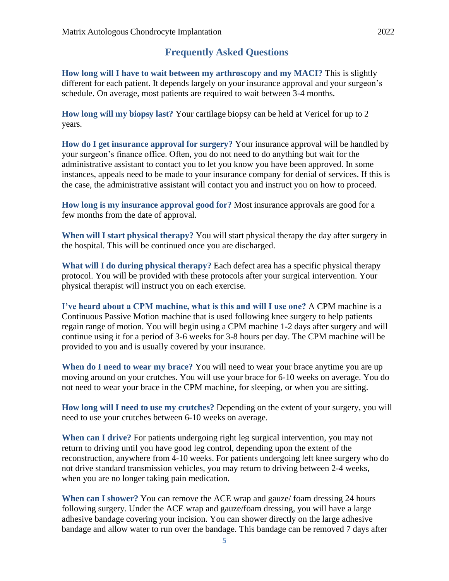# **Frequently Asked Questions**

**How long will I have to wait between my arthroscopy and my MACI?** This is slightly different for each patient. It depends largely on your insurance approval and your surgeon's schedule. On average, most patients are required to wait between 3-4 months.

**How long will my biopsy last?** Your cartilage biopsy can be held at Vericel for up to 2 years.

**How do I get insurance approval for surgery?** Your insurance approval will be handled by your surgeon's finance office. Often, you do not need to do anything but wait for the administrative assistant to contact you to let you know you have been approved. In some instances, appeals need to be made to your insurance company for denial of services. If this is the case, the administrative assistant will contact you and instruct you on how to proceed.

**How long is my insurance approval good for?** Most insurance approvals are good for a few months from the date of approval.

**When will I start physical therapy?** You will start physical therapy the day after surgery in the hospital. This will be continued once you are discharged.

**What will I do during physical therapy?** Each defect area has a specific physical therapy protocol. You will be provided with these protocols after your surgical intervention. Your physical therapist will instruct you on each exercise.

**I've heard about a CPM machine, what is this and will I use one?** A CPM machine is a Continuous Passive Motion machine that is used following knee surgery to help patients regain range of motion. You will begin using a CPM machine 1-2 days after surgery and will continue using it for a period of 3-6 weeks for 3-8 hours per day. The CPM machine will be provided to you and is usually covered by your insurance.

**When do I need to wear my brace?** You will need to wear your brace anytime you are up moving around on your crutches. You will use your brace for 6-10 weeks on average. You do not need to wear your brace in the CPM machine, for sleeping, or when you are sitting.

**How long will I need to use my crutches?** Depending on the extent of your surgery, you will need to use your crutches between 6-10 weeks on average.

**When can I drive?** For patients undergoing right leg surgical intervention, you may not return to driving until you have good leg control, depending upon the extent of the reconstruction, anywhere from 4-10 weeks. For patients undergoing left knee surgery who do not drive standard transmission vehicles, you may return to driving between 2-4 weeks, when you are no longer taking pain medication.

**When can I shower?** You can remove the ACE wrap and gauze/ foam dressing 24 hours following surgery. Under the ACE wrap and gauze/foam dressing, you will have a large adhesive bandage covering your incision. You can shower directly on the large adhesive bandage and allow water to run over the bandage. This bandage can be removed 7 days after